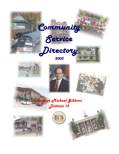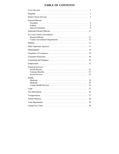# **TABLE OF CONTENTS**

|                                                                                    | 3              |
|------------------------------------------------------------------------------------|----------------|
| <b>Hospitals</b>                                                                   | $\overline{3}$ |
|                                                                                    | 5              |
| Elected Officials:<br>President<br>Federal                                         | 8<br>8<br>9    |
|                                                                                    | 11             |
| St. Louis County Government:<br>Elected Officials<br>County Government Departments | 12<br>12       |
|                                                                                    | 13             |
|                                                                                    | 17             |
|                                                                                    | 18             |
|                                                                                    | 19             |
|                                                                                    | 20             |
|                                                                                    | 20             |
|                                                                                    | 22             |
| <b>Financial Services:</b>                                                         | 22<br>23<br>23 |
| Health:<br>Medicaid                                                                | 24<br>24<br>25 |
|                                                                                    | 25             |
|                                                                                    | 26             |
|                                                                                    | 27             |
|                                                                                    | 28             |
|                                                                                    | 29             |
|                                                                                    | 30             |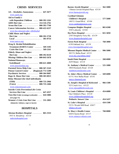# **CRISIS SERVICES**

<span id="page-2-0"></span>

| AA - Alcoholics Anonymous  647-3677                        |
|------------------------------------------------------------|
| www.aastl.org                                              |
| Aid to Family's                                            |
| with Dependent Children  800-392-1261                      |
| AIDS Hot Line  314-516-2761                                |
| Arson Hot Line  800-392-7766                               |
| Cancer Information Services 800-422-6237                   |
| www.hsc.missouri.edu/~ellisfischel                         |
| <b>Child Abuse and Neglect</b>                             |
| Hot Line  800-392-3738                                     |
| Local  381-0754                                            |
| www.nasvo.org                                              |
| Drug & Alcohol Rehabilitation                              |
| Treatment (DART) Center  569-3105                          |
| Crisis Hot Line  569-2161                                  |
| <b>Elderly Abuse and Neglect</b>                           |
| Hot Line  800-392-0210                                     |
| Missing Children Hot Line  800-843-5678                    |
| <b>National Runaways</b>                                   |
| Switchboard $\cdots \cdots \cdots \cdots 800 - 621 - 4000$ |
| www.nrscrisisline.org                                      |
| Parental Stress Help Line  800-367-2543                    |
| Poison Control Center . (Regional) 772-5200                |
| Psychiatric Services  800-364-9687                         |
| Rape & Abuse Hot Line  800-303-0013                        |
| <b>Relay Missouri (for deaf individuals)</b>               |
|                                                            |
| (Voice) $\cdots$ 800-735-2466                              |
| www.relaymissouri.com                                      |
| <b>Suicide Crisis Prevention/Life Crisis</b>               |
| <b>Services Hot Line ············ 647-4357</b>             |
| Teen Hot Line (evenings/weekends)  644-5886                |
| (see page 15)                                              |
| Women's Crisis Line Hot Line  531-2003                     |
| (domestic violence, rape or incest)                        |
|                                                            |

# **HOSPITALS**

| Alexian Brothers Hospital  865-3333 |  |  |
|-------------------------------------|--|--|
| 3933 S. Broadway 63118              |  |  |
| stalexiushospital.com               |  |  |

| Barnes Jewish Hospital  362-5000<br>1 Barnes Jewish Hospital Plaza 63110<br>www.barnesjewish.org                 |                   |
|------------------------------------------------------------------------------------------------------------------|-------------------|
| <b>Cardinal Glennon</b><br>Children's Hospital  577-5600<br>1465 S. Grand Blvd. 63104<br>www.cardinalglennon.com |                   |
| Compton Heights Hospital  865-6500<br>3545 Lafayette 63104                                                       |                   |
| Des Peres Hospital $\cdots$ 821-5850<br>2345 Dougherty Ferry Rd. 63139<br>www.despereshospital.com               |                   |
| Forest Park Hospital  768-3000<br>6150 Oakland Ave. 63139<br>www.forestparkhospital.com                          |                   |
| Missouri Baptist Medical Center  996-5000<br>3015 N. Ballas Road 63131<br>www.bjc.org/mbmc.html                  |                   |
| South Point Hospital $\cdots$ 268-6000<br>2639 Miami 63118                                                       |                   |
| St. Anthony's Medical Center  525-1000<br>10010 Kennerly Road 63128<br>stanthonysmedcenter.com                   |                   |
| St. John's Mercy Medical Center . 569-6000<br>615 S. New Ballas Road 63141<br>mercy-fammed.com                   |                   |
| St. Joseph's Hospital of Kirkwood  966-1500<br>525 Couch Ave. 63122<br>www.stjosephkirkwood.com                  |                   |
| <b>St. Louis Children's Hospital</b><br>One Children's Place 63110<br>www.childrenshospitalstl.org               | $\cdots$ 454-6000 |
| Pediatric Answer Line  454-5437                                                                                  |                   |
| St. Luke's Hospital  434-1500<br>232 S. Woods Mill Road 63017<br>stlukes-stl.com                                 |                   |
| St. Mary's Health Center $\dots \dots$ 768-8000<br>6420 Clayton Road 63117<br>www.stmarys-stlouis.com            |                   |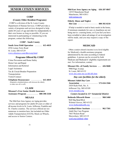# <span id="page-3-0"></span>**SENIOR CITIZEN SERVICES**

#### **CORP**

### **(County Older Resident Programs)**

 CORP is a division of the St. Louis County Department of Human Services. CORP provides a variety of programs and services designed to help adults 60 years of age and older live independently in their own homes as long as possible. If you are interested in participating or volunteering in the program, contact the following:

#### **CORP - South County**

**South Area Field Operation ...... 615-4019** 4556 Lemay Ferry Road St. Louis, MO 63129 [www.stlouisco.com/dhs/corp.html](http://www.stlouisco.com/dhs/corp.html)

#### **Programs Offered By CORP**

Crime Prevention and Home Safety Home Care and Repair Information and Referral Legal Assistance Tax & Circuit Breaker Preparation Transportation Visitor/Connect

**Telephone Reassurance ......... 615-4019** (Regularly scheduled phone calls between the elderly to make sure all is well)

### **CLAIM**

**Missouri's Free Senior Health Insurance Assistance Program .......... 800-390-3330**

#### **MEAAA**

 The Mid-East Area Agency on Aging provides services and programs for adults 60 years or older of all income levels in St. Louis, Jefferson, Franklin and St. Charles counties. The services offered are too numerous to mention here, but included are Older Adults Transportation (OATS), Meals on Wheels, and access to Senior Centers.

#### **Mid-East Area Agency on Aging 636-207-0847**

 14535 Manchester Road Manchester, MO 63011  [mid-eastaaa.org](http://mid-eastaaa.org)

#### **Elderly Abuse and Neglect**

 **Hot Line ................. 800-392-0210**

 If help is needed to tend to basic needs in the home, if minimum standards for care or cleanliness are not being met in a nursing home, or if you feel you have been swindled or taken advantage of, an investigation will be made, and you may request a copy of the report.

#### **MEDICAID**

 Often a senior citizen's income is at a level eligible for Medicaid, a health assistance program administered by the state according to federal guidelines. A person can be covered by both Medicare and Medicaid if eligibility requirements are met. For information, contact

#### **Missouri Div. of Family Services ... 426-9600** 9900 Page Avenue

 St. Louis, MO 63132  [www.dss.state.mo.us/dfs/dfs.htm](http://www.dss.state.mo.us/dfs/dfs.htm)

### *Day care facilities for the elderly*

# **Missouri Adult Day Care Association ............... 573-634-3566**

 2420 Hyde Park, Ste. A Jefferson City, MO 65109  [www.moadca.org](http://www.moadca.org)

#### *Centers located in 15TH Senatorial District*

**Bethesda Dilworth Home ........ 968-5460** 9645 Big Bend Blvd. Webster Groves, MO 63122  [www.bethesdahealth.org](http://www.bethesdahealth.org)

### **Cardinal Ritter Institute ......... 962-7501** Adult Day Care Program 7663 Watson Road Shrewsbury, MO 63119  [ccstl.org/cardinal\\_ritter](http://ccstl.org/cardinal_ritter)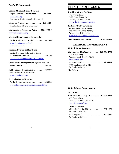### <span id="page-4-0"></span>*Need a Helping Hand?*

**Eastern Missouri Elderly Law Unit Legal Services - Intake Dept. ... 534-4200**  [www.lsem.org](http://www.lsem.org) (Free legal services for the elderly, civil cases only)

**Meals on Wheels ............. 268-1523** (For a hot dinner delivered to your home)

**Mid-East Area Agency on Aging . . . 636-207-0847** [www.mid-eastaaa.org](http://www.mid-eastaaa.org)

#### **Missouri Department of Revenue for**

 **Senior Citizens Tax Relief ....... 301-1660**  [www.dor.state.mo.us/tax/](http://www.dor.state.mo.us/tax/) (Assistance available)

#### **Missouri Division of Health and**

 **Senior Services- Alternative Care/ Homemaker Services ........... 340-7300**  [www.dhss.state.mo.us/Senior\\_Services/](http://www.dhss.state.mo.us/Senior_Services/)

#### **Older Adults Transportation System (OATS) South County ................. 894-7507**

**Public Service Commission ........ 340-6807** (Help with utility billing and services)  [www.psc.state.mo.us](http://www.psc.state.mo.us)

#### **St. Louis County Housing**

 **Authority** (Rent assistance) **.......... 428-3200**  [www.stlouisco.com/plan/housing/rental.html](http://www.stlouisco.com/plan/housing/rental.html)

# **ELECTED OFFICIALS**

#### **President George W. Bush**

The White House 1600 Pennsylvania Ave. Washington, D.C. 20500 [www.whitehouse.gov/president](http://www.whitehouse.gov/president)

#### **Richard "Dick" B. Cheney**

Office of the Vice-President Old Executive Office Building Washington, D.C. 20500  [www.whitehouse.gov/vicepresident](http://www.whitehouse.gov/vicepresident)

**White House Switchboard ...... 202-456-1414**

# **FEDERAL GOVERNMENT**

#### *United States Senators:*

**Christopher (Kit) Bond ........ 202-224-5721** 274 Russell Bldg. Washington, D.C. 20510-2503  [bond.senate.gov](http://bond.senate.gov)  **St. Louis Office: ............... 725-4484** 7700 Bonhomme, Ste. 615 St. Louis, MO 63105

### **Jim Talent**

#### *United States Congressmen:*

#### **1ST District**

**Rep. William L. Clay, Jr. ....... 202-225-2406** 415 Cannon Bldg. Washington, D.C. 20515-2501  [www.house.gov/clay](http://www.house.gov/clay)

#### **District Offices:**

| 625 N. Euclid, Ste. 220 $\ldots \ldots \ldots \ldots$ 367-1970 |  |
|----------------------------------------------------------------|--|
| St. Louis, MO 63108                                            |  |
| 8525 Page Blvd. 890-0349                                       |  |
| St. Louis, MO 63144                                            |  |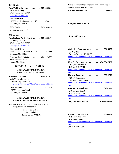#### <span id="page-5-0"></span>**2ND District**

**Rep. Todd Akin .............. 202-225-2561** 501 Cannon Bldg. Washington, D.C. 20515  [www.akin.house.gov](http://www.akin.house.gov)

#### **District Office:**

 1023 Executive Parkway, Ste. 18 .... 878-0513 St. Louis, MO 63141

 820 S. Main ................ 636-949-6826 St. Charles, MO 63301

#### **3RD District**

**Rep. Richard A. Gephardt ...... 202-225-2671** 1226 Longworth Building Washington, D.C. 20515  [dickgephardt.house.gov](http://dickgephardt.house.gov)

#### **District Offices:**

 11140 S. Towne Square, Ste. 201 ... 894-3400 St. Louis, MO 63123 Boatman's Bank Building ....... 636-937-6399 998 E. Gannon Drive Festus, MO 63028

# **STATE GOVERNMENT**

## **15TH SENATORIAL DISTRICT MISSOURI STATE SENATOR**

**Michael R. Gibbons ........... 573-751-2853** State Capitol, Room 226 Jefferson City, MO 65101 [www.senate.state.mo.us/02info/members/mem15.htm](http://www.senate.state.mo.us/02info/members/mem15.htm)

 District Office ................. 966-2526 12325 Manchester Road St. Louis, MO 63131

#### **15TH SENATORIAL DISTRICT MISSOURI STATE REPRESENTATIVES**

You may write to your state representative at the following Jefferson City address:

> House Post Office State Capitol Jefferson City, MO 65101

Listed below are the names and home addresses of your area state representatives:

**Michael Vogt- Dist. 66 ............. 631-0828**

**Margaret Donnelly-Dist. 73**

**Jim Lembke-Dist. 85**

**Catherine Hanaway-Dist. 87 ........ 961-0975** 10 Ridgeline Warson Woods, MO 63122 [www.house.state.mo.us/bills02/member02/mem087](http://www.house.state.mo.us/bills02/member02/mem087.htm) .htm **Neal St. Onge-Dist. 88 .......... 636-394-2420** 281 Geremma Drive Ballwin, MO 63011 [www.house.state.mo.us/bills02/member02/mem088](http://www.house.state.mo.us/bills02/member02/mem088.htm) .htm **Kathlyn Fares-Dist. 91 ............. 962-1796** 659 West Kirkham Webster Groves, MO 63119 [www.house.state.mo.us/bills02/member02/mem091](http://www.house.state.mo.us/bills02/member02/mem091.htm) .htm **Charles Portwood-Dist. 92 .......... 878-7887** 370 Stormy Oak Dr. Ballwin, MO 63021 [www.house.state.mo.us/bills02/member02/mem092](http://www.house.state.mo.us/bills02/member02/mem092.htm) .htm **Jody Stefanick-Dist. 93 ......... 636-227-9787**

**Richard G. Byrd-Dist. 94 ........... 966-6621** 815 Twin Pine Drive Kirkwood, MO 63122 [www.house.state.mo.us/bills02/member02/mem094](http://www.house.state.mo.us/bills02/member02/mem094.htm) .htm **Jim Avery-Dist. 95**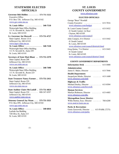# <span id="page-6-0"></span> **STATEWIDE ELECTED OFFICIALS**

**Governor Bob Holden ............ 573-751-3222** Executive Office P.O. Box 720, Jefferson City, MO 65102  [www.gov.state.mo.us](http://www.gov.state.mo.us)

 **St. Louis Office .............. 340-7518** Wainwright State Office Building 111 N. Seventh St., Suite 929 St. Louis, MO 63101

**Lt. Governor Joe Maxwell ..... 573-751-4727** State Capitol, Room 121A Jefferson City, MO 65101  [www.ltgov.state.mo.us](http://www.ltgov.state.mo.us)

 **St. Louis Office: .............. 340-7228** Wainwright State Office Building 111 N. Seventh St., Suite 259 St. Louis, MO 63101

**Secretary of State Matt Blunt . . 573-751-2379** State Capitol, Room 208 Jefferson City, MO 65101  [www.sos.state.mo.us](http://www.sos.state.mo.us)

 **St. Louis Office: .............. 340-7490** Wainwright State Office Building 111 N. Seventh St., Room 225 St. Louis, MO 63101

**State Treasurer Nancy Farmer . . 573-751-2411** State Capitol, Room 229 Jefferson City, MO 65101  [www.sto.state.mo.us](http://www.sto.state.mo.us)

**State Auditor Claire McCaskill . 573-751-4824** State Capitol, Room 224 ....... 800-347-8597 Jefferson City, MO 65101  [www.auditor.state.mo.us](http://www.auditor.state.mo.us)

**Attorney General Jay Nixon .... 573-751-3321** P.O. Box 899, Jefferson City, MO 65102  [www.ago.state.mo.us](http://www.ago.state.mo.us)

 **St. Louis Office: .............. 340-6816** Laclede Gas Building 720 Olive St., Suite 215 St. Louis, MO 63101

# **ST. LOUIS COUNTY GOVERNMENT**

[www.stlouisco.com](http://www.stlouisco.com)

#### **ELECTED OFFICIALS**

| George "Buzz" Westfall                                           |
|------------------------------------------------------------------|
| County Executive $\ldots \ldots \ldots \ldots \ldots$ 615-7016   |
| www.stlouisco.com/budget                                         |
| St. Louis County Council $\ldots \ldots \ldots$ 615-5432         |
| 41 South Central, 1st floor                                      |
| Clayton, MO 63105                                                |
| www.stlouisco.com/council                                        |
| $\dots \dots \dots \quad 615-5442$<br>John Campisi, 6TH District |
| 41 South Central                                                 |
| St. Louis, MO 63105                                              |
| www.stlouisco.com/council/district6.html                         |
| Greg Quinn, $7\text{TH}$ District  615-5443                      |
| 41 South Central                                                 |
| St. Louis, MO 63105                                              |
| www.stlouisco.com/council/district7.html                         |
|                                                                  |

#### **COUNTY GOVERNMENT DEPARTMENTS**

| <b>Information Desk</b> $615-5000$                                                                           |  |
|--------------------------------------------------------------------------------------------------------------|--|
| Administration:<br>. 615-7046<br>James E. Baker, Director                                                    |  |
| <b>Health Department:</b><br>$\ldots \ldots 615-1600$<br>Jacquelynn Meeks, Director<br>www.stlouisco.com/doh |  |
| Highways & Traffic.<br>Michael Dooley, Director<br>615-8504<br>www.stlouisco.com/hwyweb                      |  |
| <b>Human Services:</b><br>$\ldots \ldots 615-4485$<br>Marilyn Robinson, Director<br>www.stlouisco.com/dhs    |  |
| <b>Metropolitan Sewer District:</b><br>Willie Horton, Exec. Director 768-6200<br>www.msd.st-louis.mo.us      |  |

**Parks & Recreation:** Genie Zarzewski, Director ... 615-PARK (7275) [www.stlouisco.com/parks](http://www.stlouisco.com/parks)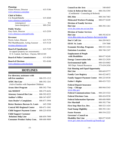<span id="page-7-0"></span>

| <b>Planning:</b>                                                  |     |
|-------------------------------------------------------------------|-----|
| Glenn Powers, Director  615-5186                                  |     |
| www.stlouisco.com/plan                                            |     |
| <b>Chief of Police:</b>                                           |     |
| Col. Ronald Battelle 615-4260                                     |     |
| www.stlouisco.com/police                                          |     |
| $(emergency) \dots \dots \dots \dots \dots$                       | 911 |
| $non-energy)$ 889-2341                                            |     |
| <b>Public Works:</b>                                              |     |
| Gary Earls, Director  615-2559                                    |     |
| www.stlouisco.com/pubworks                                        |     |
| <b>Revenue:</b>                                                   |     |
| Norris Acker, Director  615-7179                                  |     |
| Phil Muehlheausler, Acting Assessor 615-5124                      |     |
| revenue.stlouisco.com                                             |     |
| (to appeal property tax assessments)                              |     |
| 41 S. Central, 2nd floor, Clayton, MO 63105                       |     |
| <b>Board of Police Commissioners</b> 615-4260                     |     |
| <b>Board of Elections</b> 951-0100<br>www.stlouisco.com/elections |     |

# **HOTLINES**

| For directory assistance with                      |  |
|----------------------------------------------------|--|
| toll-free numbers  800-555-1212                    |  |
| <b>AFDC Hot Line</b> 800-392-1261                  |  |
| (Aid to Families with Dependent Children)          |  |
| <b>Arson Alert Program</b> 800-392-7766            |  |
| Ask MODOT 888-275-6636                             |  |
| Attorney General Hot Line  800-392-8222            |  |
| Auditor's Office  800-347-8597                     |  |
| Auto Dealer's Complaints  800-877-3994             |  |
| Better Business Bureau-St. Louis 645-3300          |  |
| Central MO Regional Center . 888-671-1041          |  |
| Child Support Payment Center . 800-225-0530        |  |
| <b>Child Support Customer</b>                      |  |
| <b>Relations Help Line</b> 800-859-7999            |  |
| <b>Consumer Product Safety Com.</b> . 800-688-9889 |  |

| <b>Council on the Arts</b> 340-6845                                                       |                              |
|-------------------------------------------------------------------------------------------|------------------------------|
| <b>Crisis &amp; Referral Hot Line</b> 800-356-5395                                        |                              |
| (Confidential - Counseling & Referral)                                                    |                              |
| DIG Rite 800-344-7483                                                                     |                              |
| Dislocated Workers/Training  800-877-8249                                                 |                              |
| <b>Division of Family Services</b>                                                        |                              |
| Hot Line 800-392-1261                                                                     |                              |
| www.dss.state.mo.us/can.htm                                                               |                              |
| <b>Division of Senior Services</b>                                                        |                              |
| Hot Line  800-392-0210<br>www.dhss.state.mo.us/Senior_Services/ps.htm                     |                              |
| Don't Call List  866-289-9633                                                             |                              |
|                                                                                           |                              |
| <b>EEOC St. Louis</b> 539-7800                                                            |                              |
| Economic Develop. Programs . 800-523-1434                                                 |                              |
| Emissions Locations  888-748-1247                                                         |                              |
| <b>Employment of People</b><br>with Disabilities  800-877-8249                            |                              |
|                                                                                           |                              |
| Energy Conservation Info  800-523-2929                                                    |                              |
| <b>Environmental Spills Acceptance International Spills</b><br>MO Dept. Natural Resources | 800-424-8802<br>573-634-2436 |
| <b>Fair Housing and Equal Opportunity</b>                                                 |                              |
| Hot Line                                                                                  | 800-669-9777                 |
| Family Care Registry                                                                      | 866-422-6872                 |
| <b>Family Support Payment Center</b>                                                      | 800-225-0530                 |
| Father's Rights                                                                           | 800-435-7323                 |
|                                                                                           |                              |
| <b>Federal Deposit Insurance</b><br>Corp. - Chicago 800-944-5343                          |                              |
| www.fdic.gov                                                                              |                              |
| Federal Communications Com. . 888-225-5322                                                |                              |
| Federal Elections Com.                                                                    | 800-424-9530                 |
| <b>Federal Information Operator</b>                                                       | $.800 - 688 - 9889$          |
| Fire Marshall                                                                             | 800-392-7766                 |
| First Stop Shot-Eco. Dev.                                                                 | 800-523-1434                 |
| Food Stamp Eligibility                                                                    | 800-392-1261                 |
| <b>Foster Parents</b><br>.                                                                | 800-554-2222                 |
| <b>Governor's Council on</b>                                                              |                              |
| Disability Hot Line  800-877-8249                                                         |                              |
| www.gov.state.mo.us/boards/cgi/boards.cgi                                                 |                              |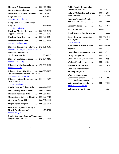| Highway & Trans./permits  800-877-8499                                                  |
|-----------------------------------------------------------------------------------------|
| Housing Discrimination  800-669-9777                                                    |
| <b>Insurance-Consumer Problems</b> . 800-726-7390                                       |
|                                                                                         |
| www.mobar.net/legalser                                                                  |
| <b>Long-Term Care Ombudsman</b>                                                         |
| www.ltcop-stl.org                                                                       |
| Medicaid-Medical Services  800-392-2161                                                 |
| Appeals/Reviews 800-392-8030                                                            |
| Medicaid-Providers  800-392-0938                                                        |
| <b>Medicare Information Activities</b><br>800-633-2273                                  |
| www.momedicare.com                                                                      |
| Missouri Bar Lawyer Referral 573-636-3635                                               |
| www.mobar.org/pamphlet/referral.htm                                                     |
| <b>Missouri Commission</b>                                                              |
| on the Humanities  781-9660                                                             |
| Missouri Dental Association  573-634-3436<br>www.modental.org                           |
| Missouri Medical Association . 573-636-5151                                             |
| <u>www.msma.org</u>                                                                     |
| Missouri Senate Hot Line  800-877-5982<br>(bill tracking information - Jan. - May)      |
| www.senate.state.mo.us<br>Missouri Natural Resources  800-334-6946<br>(for information) |
| www.dnr.state.mo.us                                                                     |
| <b>MOST Program (Higher Ed.)</b> 888-414-6678                                           |
| National Hwy Traffic Safety  800-424-9393                                               |
| <b>National Resources Info</b><br>800-361-4827                                          |
| Occupational Safety & Health . 800-392-7743                                             |
| <b>Operation Game Thief</b> 800-392-1111                                                |
| Organ Donor Program  800-366-6791                                                       |
| <b>OSHA (Occupational Safety &amp;</b><br>Health Administration)  425-4249              |
| www.osha.gov<br><b>Public Assistance Inquiry/Complaints</b>                             |

| <b>Public Service Commission</b>                                    |
|---------------------------------------------------------------------|
| <b>Consumer Hot Line</b><br>800-392-4211                            |
| <b>Relay MO/Deaf Phone Service</b><br>800-735-2966                  |
| 800-735-2466<br>Non-Impaired $\dots \dots \dots \dots$              |
| <b>Runaway/Troubled Youth</b>                                       |
| National Hot Line  800-621-4000                                     |
| $\cdots \cdots \cdots \cdots \cdot 866-748-7047$<br>School Violence |
| $\ldots \ldots \ldots \ldots$ 800-421-3511<br><b>SIDS Resources</b> |
| <b>Small Business Administration</b> 539-6600                       |
| Social Security Information  800-772-1213                           |
| Civil Rights 800-776-8014<br>www.ssa.gov                            |
| <b>State Parks &amp; Historic Sites </b><br>800-334-6946            |
| Tourism<br>800-877-1234                                             |
| 800-320-2519<br>Unemployment-Claims/Requests                        |
| Utility Complaints<br>800-392-4211                                  |
| Waste In State Government<br>800-347-8597                           |
| Welfare Fraud<br>800-392-1261                                       |
| 800-392-2614<br>Wolfner State Library                               |
| <b>Women's Entrepreneurial</b>                                      |
| Training Program  595-4586                                          |
| <b>Women's Support and</b>                                          |
| <b>Community Services</b> 314-531-2003<br>(help for abused women)   |
| Veterans Administration  800-827-1000                               |
| www.mvc.state.mo.us                                                 |
| <b>Voluntary Action Center</b><br>$\ldots \ldots 539-4063$          |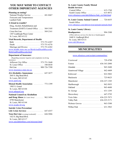# <span id="page-9-0"></span>**YOU MAY WISH TO CONTACT OTHER IMPORTANT AGENCIES**

### **Planning an outing?**

National Weather Service ........... 441-8467 Forecasts and Temperatures Lambert Field

## **A friend in trouble?**

| Drug, Alcohol, Rehabilitation and                             |  |
|---------------------------------------------------------------|--|
| Treatment (DART) Central Office  569-3105                     |  |
| Crisis Hot Line $\ldots \ldots \ldots \ldots \ldots 569-2161$ |  |
| 1307 Lindbergh Plaza Center                                   |  |
| St. Louis, MO 63132                                           |  |

### **Vital Records, Department of Health**

| Marriage and Divorce $\ldots \ldots \ldots$ 573-751-6382 |
|----------------------------------------------------------|
| www.health.state.mo.us/BirthAndDeathRecords/             |
| BirthAndDeathRecords.html                                |

### **Department of Insurance**

| (Regarding consumer inquiries and complaints involving)                  |  |
|--------------------------------------------------------------------------|--|
| insurance)                                                               |  |
| Jefferson City Office  573-751-2640                                      |  |
| St. Louis Office $\dots \dots \dots \dots \dots \dots 340-6830$          |  |
| Hot Line $\ldots \ldots \ldots \ldots \ldots \ldots \ldots 800-726-7390$ |  |
| www.insurance.state.mo.us                                                |  |

**AA-Alcoholics Anonymous** ........ 647-3677 2683 S. Big Bend Blvd. St. Louis, MO 63143

### [www.aastl.org](http://www.aastl.org)

**Mental Health Association** ........ 773-1399 1905 S. Grand St. Louis, MO 63104 [www.mhagstl.org](http://www.mhagstl.org) **National Council on Alcoholism**

| National Council on Alcoholism                                  |  |
|-----------------------------------------------------------------|--|
| <b>and Drug Abuse</b> (St. Louis Area) $\ldots \ldots$ 962-3456 |  |
| 8790 Manchester                                                 |  |
| St. Louis, MO 63144                                             |  |
| www.ncada-stl.org                                               |  |
|                                                                 |  |

### **Suicide Crisis Prevention/**

| <b>Teen Hot Line</b> (evenings/weekends) $\ldots$ . 644-5886 |  |
|--------------------------------------------------------------|--|
| 1423 S. Big Bend Blvd.                                       |  |
| St. Louis, MO 63117                                          |  |
| www.suicidehotlines.com/missouri.html                        |  |

# **St. Louis County Family Mental Health Services** Central Office .................. 615-1760

| Central Office $\ldots \ldots \ldots \ldots \ldots \ldots$ 615-1/60 |  |
|---------------------------------------------------------------------|--|
|                                                                     |  |
| www.stlouisco.com/doh/hlthctrs/fmh_ctr/fmh.html                     |  |

**St. Louis County Animal Control** ... 726-6655 South Office [www.stlouisco.com/doh/environ/animals/animals.html](http://www.stlouisco.com/doh/environ/animals/animals.html)

## **St. Louis County Library**

**Headquarters** .................. 994-3300 (Offers delivery services for shut-ins or handicapped) 1640 S. Lindbergh Blvd. St. Louis, MO 63131 [www.slcl.lib.mo.us](http://www.slcl.lib.mo.us)

# **MUNICIPALITIES**

[www.stlouisco.com/scripts/communities/](http://www.stlouisco.com/scripts/communities/)

| Grantwood Village  842-4409 |
|-----------------------------|
|                             |
|                             |
| Manchester 636-227-1385     |
| Marlborough  962-5055       |
|                             |
|                             |
|                             |
| Twin Oaks 636-225-7873      |
| Valley Park 636-225-5171    |
|                             |
|                             |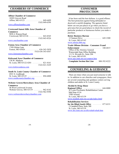# <span id="page-10-0"></span>**CHAMBERS OF COMMERCE**

#### **Affton Chamber of Commerce**

| 10205 Gravois Road        |  |              |
|---------------------------|--|--------------|
| Affton, MO 63123 849-6499 |  |              |
|                           |  | FAX 849-6399 |

[www.afftonchamber.com](http://www.afftonchamber.com)

#### **Crestwood-Sunset Hills Area Chamber of**

#### **Commerce**

| 9058 A Watson Road           |  |              |
|------------------------------|--|--------------|
| Crestwood, MO 63126 843-8545 |  |              |
|                              |  | FAX 843-8526 |

#### [www.ourchamber.com](http://www.ourchamber.com)

#### **Fenton Area Chamber of Commerce**

| 1749 Gilsinn Lane       |                  |
|-------------------------|------------------|
|                         |                  |
|                         | FAX 636-343-6367 |
| www.fentonmochamber.com |                  |

#### **Kirkwood Area Chamber of Commerce**

| 138 W. Madison                      |              |
|-------------------------------------|--------------|
| St. Louis, MO $63122-4201$ 821-4161 |              |
|                                     | FAX 821-5229 |
| www.kirkwoodarea.com                |              |

#### **South St. Louis County Chamber of Commerce**

 6921 S. Lindbergh St. Louis, MO 63125 ............ 894-6800 [www.southcountychamber.org](http://www.southcountychamber.org)

#### **Webster Groves/Shrewsbury Area Chamber of Commerce**

| 46 West Lockwood Avenue            |              |
|------------------------------------|--------------|
| Webster Groves, MO 63119  962-4142 |              |
|                                    | FAX 962-9398 |

[www.webstershrewsburychamber.com](http://www.webstershrewsburychamber.com)

# **CONSUMER PROTECTION**

 It has been said the best defense is a good offense. The best protection against being defrauded or deceived is careful shopping. The agencies listed below are not just places to go when you have a grievance but are good places to check the record of particular products or businesses before you make a purchase.

#### **Better Business Bureau**

| 12 Sunnen Drive 645-3300 |  |
|--------------------------|--|
| St. Louis, MO 63143      |  |
| www.stlouis.bbb.org      |  |

#### **Trade Offense Division - Consumer Fraud**

**Enforcement** .................. 340-6815 Office of the Attorney General Wainwright State Office Building 111 N. Seventh St., Suite 204 St. Louis, MO 63101 [www.ago.state.mo.us/conprot.htm](http://www.ago.state.mo.us/conprot.htm)  **Complaint Section Hot Line** . . 800-392-8222

# **COUNSELING & GUIDANCE**

 There are times when you just need someone to talk to. In addition to our churches and synagogues, there are several counseling and guidance centers serving children and adults in St. Louis County.

#### **Alcohol & Drug Abuse**

**Regional Office** ............... 644-8000 St. Louis Psychiatric Rehabilitation Center Mail Stop A116 5300 Arsenal St. Louis, MO 63139 [www.modmh.state.mo.us/ada/index.html](http://www.modmh.state.mo.us/ada/index.html)

#### **Rehabilitation Services**

**for the Blind-South Office** ....... 877-0151 2 Campbell Plaza, Suite 300 St. Louis, MO 63139 [www.dss.state.mo.us/dfs/rehab/rehab.htm](http://www.dss.state.mo.us/dfs/rehab/rehab.htm)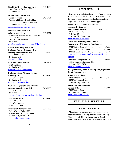<span id="page-11-0"></span>**Disability Determinations Unit** .... 340-4600 1845 Borman Ct., Suite 200 St. Louis, MO 63146

**Division of Children and Youth Services** ................ 340-6904 Wainwright State Office Building 111 N. Seventh Street, Room 331 St. Louis, MO 63101 [stlouis.missouri.org/citygov/oyfs](http://stlouis.missouri.org/citygov/oyfs)

#### **Missouri Protection and**

**Advocacy Services** .............. 961-0679 (protecting human and legal rights for people with disabilities) 2941 South Brentwood St. Louis, MO 63144 [members.socket.net/~mopasjc/MOP&A.htm](http://members.socket.net/~mopasjc/MOP&A.htm)

#### **Productive Living Board for**

**St. Louis County Citizens with Developmental Disabilities** ....... 726-6016 121 Hunter, Suite 200 St. Louis, MO 63124 [www.plboard.com](http://www.plboard.com)

**St. Louis Crisis Nursery** ......... 768-3201 6150 Oakland St. Louis, MO 63139 [www.crisisnurserykids.com](http://www.crisisnurserykids.com)

**St. Louis Metro Alliance for the Mentally Ill** ................... 966-4670 134 W. Madison St. Louis, MO 63122 [mo.nami.org/stlouis2.html](http://mo.nami.org/stlouis2.html)

**St. Louis Regional Center for the Developmentally Disabled** ........ 340-6500 211 N. Lindbergh Blvd. St. Louis, MO 63141 [www.modmh.state.mo.us/slrc/index.htm](http://www.modmh.state.mo.us/slrc/index.htm)

**Self-Help Center** ............... 966-4980 (Mental Health Center) 135 West Monroe

Kirkwood, MO 63122

**Vocational Rehabilitation** ........ 301-1600 7435 Watson, Suite 100B Kenrick Plaza Shopping Center Shrewsbury, MO 63119 [www.vr.dese.state.mo.us](http://www.vr.dese.state.mo.us)

# **EMPLOYMENT**

 There are two parts to getting a job. First, you have to know it's available, and second, you have to have the required qualifications. For the location of the largest file of available jobs and to apply for unemployment compensation, contact

#### **Missouri Division of**

**Employment Security** ........ 573-751-3215 421 E. Dunklin St. P.O. Box 59 Jefferson City, MO 65104 [www.dolir.state.mo.us/es](http://www.dolir.state.mo.us/es) **Work Force Development Center**

### **Department of Economic Development** 9244 Watson Road 63126 ........ 842-3600

 6821 S. Broadway 63111 ......... 301-7900 2780 N. Lindberg 63114 . . . . . . . . . . 877-2748 [www.ded.state.mo.us/employment/workforcedeve](http://www.ded.state.mo.us/employment/workforcedevelopment) lopment

**Workers' Compensation** ......... 340-6865 111 N. Seventh St., Room 250 St. Louis, MO 63101 [www.dolir.state.mo.us/wc](http://www.dolir.state.mo.us/wc)

# *For specialized guidance, training, and preparation*

*for job interviews, try*

| <b>Missouri Vocational</b>         |  |
|------------------------------------|--|
| <b>Rehabilitation</b> 573-751-3251 |  |
| 3024 W. Truman Blvd.               |  |
| Jefferson City, MO 65101           |  |
| <b>Vocational Rehabilitation</b>   |  |

#### **District Office** ................. 301-1600 7435 Watson Road St. Louis, MO 63119 [www.vr.dese.state.mo.us](http://www.vr.dese.state.mo.us)

**FINANCIAL SERVICES**

### **SOCIAL SECURITY**

 Almost every American reaching age 65 today is eligible for Social Security benefits on that birthday. Check your eligibility with our nearest Social Security district office at least 3 months before your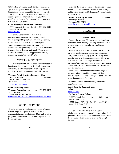<span id="page-12-0"></span>65th birthday. You may apply for these benefits at age 62 if you prefer, but early payment will reduce the monthly benefit amount for the rest of your life. Your Social Security district office can give you specific personal information. Take your birth certificate and Social Security card with you when you visit the SSA office.

#### **Social Security Administration Office**

 10777 Sunset Office Dr., Ste 10 . 800-772-1213 Sunset Hills, MO 63127 [www.ssa.gov](http://www.ssa.gov)

 The Social Security Office also makes determinations on claims for disability benefits. Benefits are paid to people who are totally disabled, if they have worked five of the last ten years.

 A new program has taken the place of the federal-state programs of public assistance payments to aged, blind or disabled individuals. You may apply for this assistance, called ''supplemental security income payments,'' at the SSA office.

## **VETERANS' BENEFITS**

 The federal government has made numerous special benefits available to veterans. To check on questions concerning disability benefits, veterans' pensions, scholarships and loans under the GI bill, contact

#### **Veterans Administration Regional Office -**

**Veterans Benefits** .............. 589-9885 400 S. 18th St., Rm. 107 St. Louis, MO 63103 [www.mvc.state.mo.us](http://www.mvc.state.mo.us)

#### **State Approving Agency -**

**Veterans Education** .......... 573-751-3487 P.O. Box 480 Jefferson City, MO 65102 [www.dese.state.mo.us/divvoced/veterans\\_ed\\_inde](http://www.dese.state.mo.us/divvoced/veterans_ed_index.htm) x.htm

### **SOCIAL SERVICES**

 People who are without adequate means of support may be eligible for general assistance, aid to dependent children, food stamps, Medicaid, or other programs administered by the state Department of Social Services.

 Eligibility for these programs is determined by your level of income, number of people in your family, and the value of personal belongings. You must apply in person to the

**Division of Family Services** ....... 426-9600 9900 Page Avenue St. Louis, MO 63132 [www.dss.state.mo.us/public.htm](http://www.dss.state.mo.us/public.htm)

# **HEALTH**

#### **MEDICARE**

 People who are over 65 years of age or have been entitled to Social Security disability payments for 24 or more consecutive months are eligible for Medicare.

 Medicare is a federal program that consists of two parts - hospital insurance and medical insurance. Hospital insurance helps pay the cost of inpatient hospital care as well as certain kinds of follow-up care. Medical insurance helps pay the cost of physicians' services, outpatient hospital services, and certain medical items and services not covered by hospital insurance.

 People who use the medical insurance program must pay a basic monthly premium. Medicare hospital insurance is free of charge to people who are insured under Social Security.

 For more information concerning Medicare benefits, contact

#### **Social Security Administration**

**Office** ............................. 800-772-1213 [www.ssa.gov](http://www.ssa.gov)

#### **St. Louis County Offices:**

 2160 Tenbrook Road ......... 636-282-6052 Arnold, MO 63010

 10777 Sunset Office Dr., Ste. 10 . 800-772-1213 Sunset Hills, MO 63127

#### **MEDICAID**

 Medicaid is a health assistance program administered by the state according to certain federal guidelines. Ten percent of all Americans benefit from the program, which exists in every state except Arizona.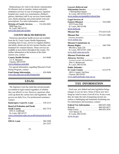<span id="page-13-0"></span> Medicaid pays for visits to the doctor; immunization for diseases such as measles, tetanus and polio; ambulance services in case of emergency; inpatient hospital care; yearly eye examinations; children's glasses; laboratory and X-ray services; home health care; family planning; and certain dental work and prescriptions. For more information, contact

**Division of Family Services** .... 314-426-8401 9900 Page Ave. St. Louis, MO 63132 [www.dss.state.mo.us/dms](http://www.dss.state.mo.us/dms)

#### **COUNTY HEALTH SERVICES**

 Numerous specialized health services are available from the St. Louis County Health Department, including chest X-rays, service to crippled children and adults, dental care for low-income families, and treatment for venereal disease. These services are available at area clinics throughout the county. For further information or the location of the clinic nearest you, contact

**County Health Division** .......... 615-0600 111 S. Meramec

 Clayton, MO 63105 [www.stlouisco.com/doh](http://www.stlouisco.com/doh)

 For special information regarding Missouri's Food Stamp Program, contact

**Food Stamp Information** ......... 426-9600 [www.dss.state.mo.us/dfs/fstamp.htm](http://www.dss.state.mo.us/dfs/fstamp.htm)

# **LEGAL**

 The Supreme Court has ruled that arrested people are entitled to legal counsel regardless of whether they can afford it or not. However, questions often come up about the various laws and regulations that govern our daily lives. For professional assistance contact:

| <b>Bankruptcy Court/St. Louis</b> 539-2315       |          |
|--------------------------------------------------|----------|
| <b>Board of Probation and Parole</b>             |          |
| <b>South County</b> 842-7374                     |          |
| 4452 S. Lindbergh                                |          |
| St. Louis, MO 63127                              |          |
| www.corrections.state.mo.us/division/prob/prob.h |          |
| tm                                               |          |
| <b>FBI-St. Louis</b> 589-2500                    |          |
|                                                  | 241-5357 |

| <b>Lawyers Referral and</b>                        |
|----------------------------------------------------|
| <b>Information Service</b><br>621-6681<br>$\ddots$ |
| 1 Metropolitan Square                              |
| St. Louis, MO 63102-2733                           |
| www.mobar.org/pamphlet/referral.htm                |
| <b>Legal Services of</b>                           |
| Eastern Missouri<br>534-4200                       |
| 4232 Forest Park                                   |
| St. Louis, MO 63108                                |
| www.lsem.org                                       |
| Missouri Bar<br>573-635-4128                       |
| Missouri Bar<br>573-635-7400<br>.                  |
| (Attorney discipline)                              |
| www.mobar.org                                      |
| <b>Missouri Commission on</b>                      |
| 340-7590<br><b>Human Rights</b>                    |
| 906 Olive, Suite 320                               |
| St. Louis, MO 63101-1426                           |
| www.dolir.state.mo.us/hr                           |
| <b>Missouri Protection and</b>                     |
| <b>Advocacy Services</b><br>961-0679               |
| (Limited to people with disabilities)              |
| 2941 S. Brentwood                                  |
| St. Louis, MO 63144                                |
| <b>Public Defender -</b>                           |
| St. Louis County<br>615-4778                       |
| 100 S. Central, 2nd floor                          |
| Clayton, MO 63105                                  |
| www.publicdefender.state.mo.us                     |

# **TAX INFORMATION**

 Each year, new federal and state legislation brings changes in our tax laws. Some of these new laws bring tax relief to most, if not all of us. In any event, they do make the task of preparing income tax returns a challenging and sometimes frustrating one. For information and assistance, contact

| <b>Federal Tax Information</b> $\ldots$ 800-829-1040 |  |
|------------------------------------------------------|--|
| Refunds 800-829-4477                                 |  |
| Order Forms 800-829-3676                             |  |
| 1222 Spruce St.                                      |  |
| St. Louis, MO 63103                                  |  |
| www.irs.gov                                          |  |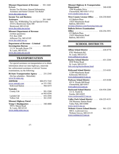### **Missouri Department of Revenue** . 301-1660 Refunds

 Income Tax Division, General Information, Assistance and Senior Citizens' Tax Relief [www.dor.state.mo.us](http://www.dor.state.mo.us)

#### **Income Tax and Business**

**Assistance** .................. 301-1660 Sales Tax, Withholding Tax and Special Events 2510 S. Brentwood, Suite 300 Brentwood, MO 63144 [www.dor.state.mo.us/tax](http://www.dor.state.mo.us/tax)

#### **Missouri Department of Revenue**

 (written questions) P.O. Box 2200 Jefferson City, MO 65105 [www.dor.state.mo.us](http://www.dor.state.mo.us)

**Department of Revenue - Criminal Investigation Bureau** .......... 340-6905 111 N. Seventh, Room 234 St. Louis, MO 63101 <www.dor.state.mo.us/cib>

# **TRANSPORTATION**

 For special assistance on transportation or to obtain information about our state highways, statewide law enforcement assistance or drivers' license examinations, try the following:

| <b>Bi-State Transportation Agency</b> 231-2345 |  |
|------------------------------------------------|--|
| (for bus schedules - Metrolink)                |  |
| www.bi-state.org                               |  |

| <b>AMTRAK</b> 800-872-7245                                      |            |  |             |
|-----------------------------------------------------------------|------------|--|-------------|
| www.amtrak.com                                                  |            |  | or 331-3301 |
| Kirkwood Station 966-6475                                       |            |  |             |
| <b>Taxicabs:</b>                                                |            |  |             |
| County Cab 991-5300                                             |            |  |             |
|                                                                 |            |  | or 993-8294 |
| Laclede Cab                                                     | . 652-3456 |  |             |
| Yellow Cab $\ldots \ldots \ldots \ldots \ldots \ldots$ 361-2345 |            |  |             |
| Missouri Highway Patrol                                         |            |  |             |

| <b>Troop C Headquarters</b> $\ldots \ldots \ldots \ldots 340-4000$ |  |
|--------------------------------------------------------------------|--|
| 599 S. Mason Road                                                  |  |
| St. Louis, MO 63141                                                |  |
| www.mshp.state.mo.us                                               |  |

### **Missouri Highway & Transportation**

**Department** .................. 340-4100 1590 Woodlake Drive Chesterfield, MO 63017-5712 [www.modot.state.mo.us](http://www.modot.state.mo.us)

# **West County License Office** ... 636-230-0643

 #12 Ballwin Plaza 15425 Manchester Road Ballwin, MO 63011 [revenue.stlouisco.com/licensing/state.asp](http://revenue.stlouisco.com/licensing/state.asp) **Ballwin Drivers Examinations Office** .................... 636-256-3951 #13 Ballwin Plaza 15425 Manchester Road Ballwin, MO 63011

# **SCHOOL DISTRICTS**

| <b>Affton School District</b><br>$\ldots$ 638-8770<br>8701 Mackenzie Rd.<br>St. Louis, MO 63123<br>www.affton.k12.mo.us                   |
|-------------------------------------------------------------------------------------------------------------------------------------------|
| $. . 631 - 2244$<br><b>Bayless School District</b><br>4530 Weber Road<br>St. Louis, MO 63123<br>info.csd.org/baylesshome.html             |
| <b>Kirkwood School District</b><br>$213-6101$<br>11289 Manchester Road<br>Kirkwood, MO 63122<br>www.kirkwood.k12.mo.us                    |
| $\ldots$ 415-8100<br><b>Parkway School District</b><br>455 N. Woods Mill Road<br>Chesterfield, MO 63017<br>www.pkwy.k12.mo.us             |
| <b>Rockwood School District</b><br>636-938-2200<br>$111 E$ . North St.<br>Eureka, MO 63025<br>www.rockwood.k12.mo.us                      |
| <b>Valley Park School District</b><br>636-225-4151<br>$\ldots$ .<br>356 Meramec Station Road<br>Valley Park, MO 63088<br>www.vp.k12.mo.us |
| <b>Webster Groves School District</b><br>961-1233<br>400 E. Lockwood Ave<br>Webster Groves, MO 63119<br>www.webster.k12.mo.us             |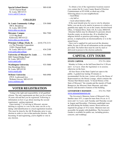<span id="page-15-0"></span>**Special School District** .......... 989-8100

 12110 Clayton Road St. Louis, MO 63131 [www.ssd.k12.mo.us](http://www.ssd.k12.mo.us)

# **COLLEGES**

**St. Louis Community College** ..... 539-5000 300 S. Broadway

 St. Louis, MO 63102 [www.stlcc.cc.mo.us](http://www.stlcc.cc.mo.us)

**Meramec Campus** .............. 984-7500 11333 Big Bend Kirkwood, MO 63122 [www.stlcc.cc.mo.us/mc](http://www.stlcc.cc.mo.us/mc)

**Principia College, Elsah, IL** ... (618) 374-2131 c/o The Principia Corporation 13201 Clayton Road St. Louis, MO 63131-1099 ....... 434-2100 [www.prin.edu/college](http://www.prin.edu/college)

**University of Missouri-St. Louis** .... 516-5000 8001 Natural Bridge Road St. Louis, MO 63121 [www.umsl.edu](http://www.umsl.edu)

**Washington University** .......... 935-5000 One Brookings Drive St. Louis, MO 63130 [www.wustl.edu](http://www.wustl.edu)

**Webster University** ............. 968-6900 470 E. Lockwood Ave. Webster Groves, MO 63119 [www.webster.edu](http://www.webster.edu)

# **VOTER REGISTRATION**

 Voting is the right and responsibility of all qualified citizens. The only requirements are that you be at least 18 years old and that you be registered. Following is information on how to go about meeting the second requirement - getting registered.

 Upon turning 17 or moving to Missouri, anyone desiring to register to vote in the state can do so by taking valid identification to a local registration location. This must be done by the 4th Wednesday prior to any election in order to vote in that particular election. After becoming 18 and registering, you're eligible to vote in any election.

 To obtain a list of the registration locations nearest you, contact the St. Louis County Board of Election Commissioners at 951-0100, or check any of the following places in your neighborhood.

- -- local library
- -- city hall or
- -- local school district office

 If the need should arise for you to vote by absentee ballot, you can do so by mail or in person or a relative or guardian may apply for you at the county election board office, 12 Sunnen Drive, Suite 126, St. Louis, MO63143. Absentee ballots may be obtained if a personis absent from the county on election day, ill or disabled, has religious beliefs or practices preventing voting in person, is employed by an election authority or is in the armed forces.

 Once you've applied for and received the absentee ballot, be sure to fill out all information on the envelope provided. The ballot then must be sent by mail or delivered in person to the election authority.

# **CAPITAL CITY TOURS**

## **STATE CAPITOL** ........... 573-751-2854

 Monday to Friday on the half hour, from 8 to 11:30 a.m. and 1 to 4 p.m. when the legislature is in session; otherwise on the hour.

 All four floors of the State Capitol are open to the public. A guided tour lasting 30 minutes is recommended. On the tour, visitors will see the House of Representatives; the House Lounge, which contains the Thomas Hart Benton mural, ''A Social History of the State of Missouri;'' the rotunda and the murals of Frank Brangwyn; the Missouri State Museum; and other historic and decorative features of the building.

#### **GOVERNOR'S MANSION** ..... 573-751-7929 [www.missourimansion.org](http://www.missourimansion.org)

 The Governor's Mansion, home of Missouri's first families since 1871, is open for tours from 10 a.m. to 12 noon and 1 to 3 p.m. each Tuesday and Thursday except in August and December. Christmas candlelight tours are held during the holiday season. Reservations are required for groups of 10 or more. Mansion tours are accessible for people with disabilities. The Governor's Garden is available for public use, including picnics, concerts, and weddings.